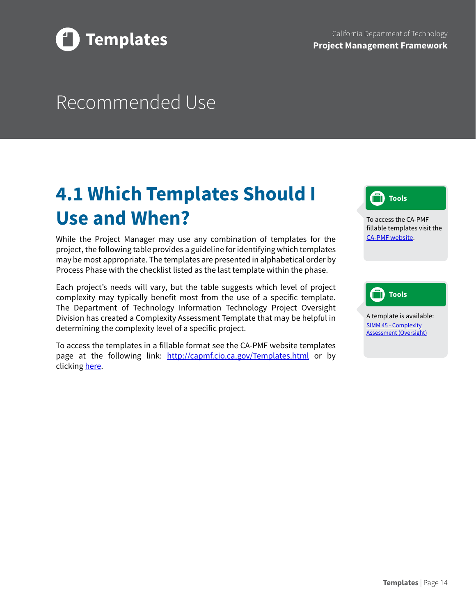

## Recommended Use

## **4.1 Which Templates Should I Use and When?**

While the Project Manager may use any combination of templates for the project, the following table provides a guideline for identifying which templates may be most appropriate. The templates are presented in alphabetical order by Process Phase with the checklist listed as the last template within the phase.

Each project's needs will vary, but the table suggests which level of project complexity may typically benefit most from the use of a specific template. The Department of Technology Information Technology Project Oversight Division has created a Complexity Assessment Template that may be helpful in determining the complexity level of a specific project.

To access the templates in a fillable format see the CA-PMF website templates page at the following link: <http://capmf.cio.ca.gov/Templates.html>or by clicking [here](http://capmf.cio.ca.gov/Templates.html).



To access the CA-PMF fillable templates visit the [CA-PMF website](http://capmf.cio.ca.gov/Templates.html).

## **Tools**

A template is available: SIMM 45 - [Complexity](https://cdt.ca.gov/policy/simm/) [Assessment \(Oversight\)](https://cdt.ca.gov/policy/simm/)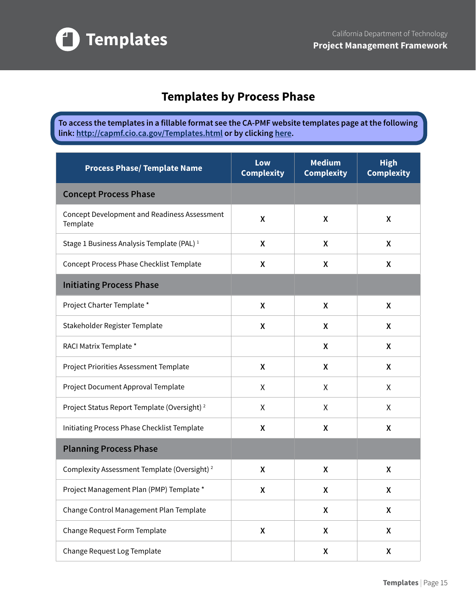

## **Templates by Process Phase**

**To access the templates in a fillable format see the CA-PMF website templates page at the following link: [http://capmf.cio.ca.gov/Templates.html](http://www.capmf.cio.ca.gov/Templates.html) or by clicking [here](http://capmf.cio.ca.gov/Templates.html).**

| <b>Process Phase/ Template Name</b>                             | Low<br><b>Complexity</b> | <b>Medium</b><br><b>Complexity</b> | <b>High</b><br><b>Complexity</b> |
|-----------------------------------------------------------------|--------------------------|------------------------------------|----------------------------------|
| <b>Concept Process Phase</b>                                    |                          |                                    |                                  |
| <b>Concept Development and Readiness Assessment</b><br>Template | X                        | X                                  | X                                |
| Stage 1 Business Analysis Template (PAL) <sup>1</sup>           | X                        | X                                  | X                                |
| Concept Process Phase Checklist Template                        | X                        | X                                  | X                                |
| <b>Initiating Process Phase</b>                                 |                          |                                    |                                  |
| Project Charter Template *                                      | X                        | X                                  | X                                |
| Stakeholder Register Template                                   | X                        | X                                  | X                                |
| RACI Matrix Template *                                          |                          | X                                  | X                                |
| Project Priorities Assessment Template                          | X                        | X                                  | X                                |
| Project Document Approval Template                              | Χ                        | X                                  | X                                |
| Project Status Report Template (Oversight) <sup>2</sup>         | χ                        | X                                  | X                                |
| Initiating Process Phase Checklist Template                     | X                        | X                                  | X                                |
| <b>Planning Process Phase</b>                                   |                          |                                    |                                  |
| Complexity Assessment Template (Oversight) <sup>2</sup>         | X                        | X                                  | X                                |
| Project Management Plan (PMP) Template *                        | X                        | X                                  | X                                |
| Change Control Management Plan Template                         |                          | X                                  | X                                |
| Change Request Form Template                                    | χ                        | X                                  | X                                |
| Change Request Log Template                                     |                          | X                                  | $\pmb{\mathsf{X}}$               |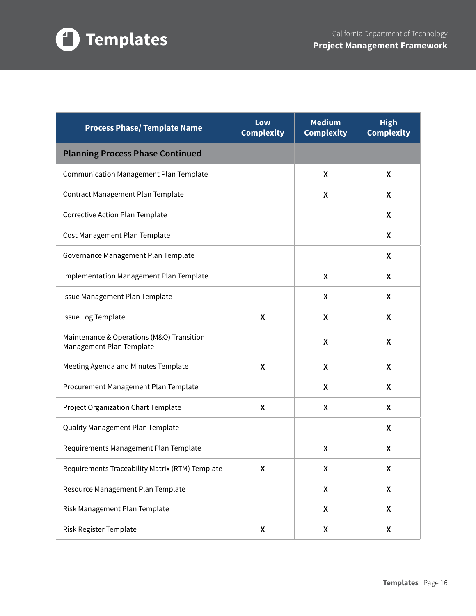

| <b>Process Phase/ Template Name</b>                                   | Low<br><b>Complexity</b> | <b>Medium</b><br><b>Complexity</b> | <b>High</b><br><b>Complexity</b> |
|-----------------------------------------------------------------------|--------------------------|------------------------------------|----------------------------------|
| <b>Planning Process Phase Continued</b>                               |                          |                                    |                                  |
| <b>Communication Management Plan Template</b>                         |                          | X                                  | X                                |
| Contract Management Plan Template                                     |                          | X                                  | X                                |
| Corrective Action Plan Template                                       |                          |                                    | X                                |
| Cost Management Plan Template                                         |                          |                                    | X                                |
| Governance Management Plan Template                                   |                          |                                    | X                                |
| Implementation Management Plan Template                               |                          | X                                  | X                                |
| Issue Management Plan Template                                        |                          | X                                  | Χ                                |
| Issue Log Template                                                    | X                        | X                                  | X                                |
| Maintenance & Operations (M&O) Transition<br>Management Plan Template |                          | X                                  | X                                |
| Meeting Agenda and Minutes Template                                   | X                        | X                                  | Χ                                |
| Procurement Management Plan Template                                  |                          | X                                  | X                                |
| Project Organization Chart Template                                   | X                        | X                                  | Χ                                |
| Quality Management Plan Template                                      |                          |                                    | X                                |
| Requirements Management Plan Template                                 |                          | X                                  | X                                |
| Requirements Traceability Matrix (RTM) Template                       | X                        | X                                  | Χ                                |
| Resource Management Plan Template                                     |                          | $\boldsymbol{\mathsf{X}}$          | X                                |
| Risk Management Plan Template                                         |                          | X                                  | χ                                |
| Risk Register Template                                                | X                        | X                                  | χ                                |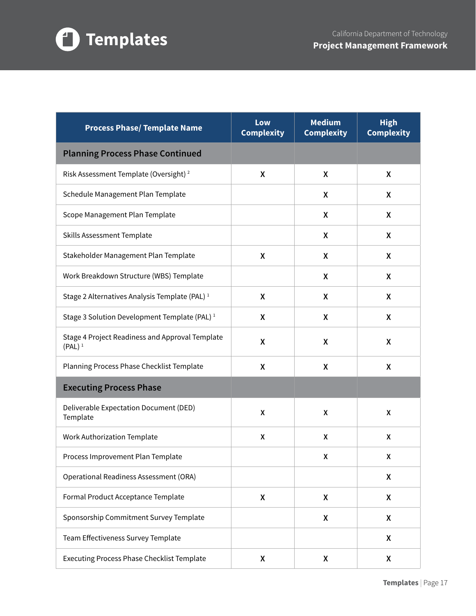

| <b>Process Phase/ Template Name</b>                          | Low<br><b>Complexity</b> | <b>Medium</b><br><b>Complexity</b> | <b>High</b><br><b>Complexity</b> |
|--------------------------------------------------------------|--------------------------|------------------------------------|----------------------------------|
| <b>Planning Process Phase Continued</b>                      |                          |                                    |                                  |
| Risk Assessment Template (Oversight) <sup>2</sup>            | X                        | X                                  | X                                |
| Schedule Management Plan Template                            |                          | X                                  | X                                |
| Scope Management Plan Template                               |                          | X                                  | X                                |
| Skills Assessment Template                                   |                          | X                                  | X                                |
| Stakeholder Management Plan Template                         | $\pmb{\mathsf{X}}$       | X                                  | X                                |
| Work Breakdown Structure (WBS) Template                      |                          | X                                  | X                                |
| Stage 2 Alternatives Analysis Template (PAL) <sup>1</sup>    | X                        | X                                  | X                                |
| Stage 3 Solution Development Template (PAL) <sup>1</sup>     | X                        | X                                  | X                                |
| Stage 4 Project Readiness and Approval Template<br>$(PAL)^1$ | $\pmb{\mathsf{X}}$       | X                                  | X                                |
| Planning Process Phase Checklist Template                    | X                        | X                                  | X                                |
| <b>Executing Process Phase</b>                               |                          |                                    |                                  |
| Deliverable Expectation Document (DED)<br>Template           | χ                        | X                                  | X                                |
| <b>Work Authorization Template</b>                           | χ                        | X                                  | X                                |
| Process Improvement Plan Template                            |                          | X                                  | X                                |
| Operational Readiness Assessment (ORA)                       |                          |                                    | X                                |
| Formal Product Acceptance Template                           | X                        | X                                  | X                                |
| Sponsorship Commitment Survey Template                       |                          | X                                  | X                                |
| Team Effectiveness Survey Template                           |                          |                                    | X                                |
| <b>Executing Process Phase Checklist Template</b>            | $\pmb{\mathsf{X}}$       | χ                                  | X                                |